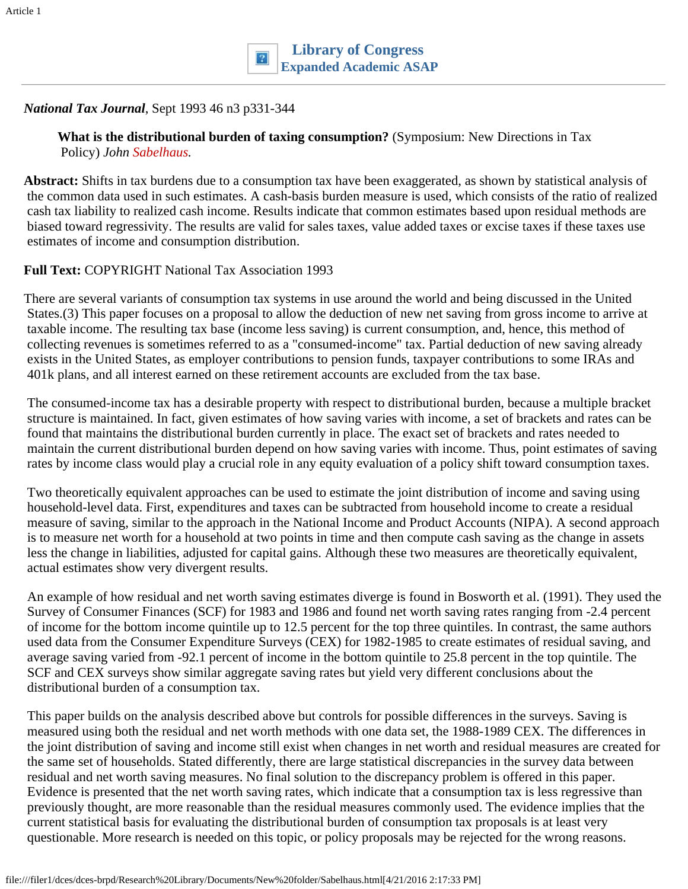# *National Tax Journal*, Sept 1993 46 n3 p331-344

**What is the distributional burden of taxing consumption?** (Symposium: New Directions in Tax Policy) *John Sabelhaus.*

**Abstract:** Shifts in tax burdens due to a consumption tax have been exaggerated, as shown by statistical analysis of the common data used in such estimates. A cash-basis burden measure is used, which consists of the ratio of realized cash tax liability to realized cash income. Results indicate that common estimates based upon residual methods are biased toward regressivity. The results are valid for sales taxes, value added taxes or excise taxes if these taxes use estimates of income and consumption distribution.

#### **Full Text:** COPYRIGHT National Tax Association 1993

There are several variants of consumption tax systems in use around the world and being discussed in the United States.(3) This paper focuses on a proposal to allow the deduction of new net saving from gross income to arrive at taxable income. The resulting tax base (income less saving) is current consumption, and, hence, this method of collecting revenues is sometimes referred to as a "consumed-income" tax. Partial deduction of new saving already exists in the United States, as employer contributions to pension funds, taxpayer contributions to some IRAs and 401k plans, and all interest earned on these retirement accounts are excluded from the tax base.

The consumed-income tax has a desirable property with respect to distributional burden, because a multiple bracket structure is maintained. In fact, given estimates of how saving varies with income, a set of brackets and rates can be found that maintains the distributional burden currently in place. The exact set of brackets and rates needed to maintain the current distributional burden depend on how saving varies with income. Thus, point estimates of saving rates by income class would play a crucial role in any equity evaluation of a policy shift toward consumption taxes.

Two theoretically equivalent approaches can be used to estimate the joint distribution of income and saving using household-level data. First, expenditures and taxes can be subtracted from household income to create a residual measure of saving, similar to the approach in the National Income and Product Accounts (NIPA). A second approach is to measure net worth for a household at two points in time and then compute cash saving as the change in assets less the change in liabilities, adjusted for capital gains. Although these two measures are theoretically equivalent, actual estimates show very divergent results.

An example of how residual and net worth saving estimates diverge is found in Bosworth et al. (1991). They used the Survey of Consumer Finances (SCF) for 1983 and 1986 and found net worth saving rates ranging from -2.4 percent of income for the bottom income quintile up to 12.5 percent for the top three quintiles. In contrast, the same authors used data from the Consumer Expenditure Surveys (CEX) for 1982-1985 to create estimates of residual saving, and average saving varied from -92.1 percent of income in the bottom quintile to 25.8 percent in the top quintile. The SCF and CEX surveys show similar aggregate saving rates but yield very different conclusions about the distributional burden of a consumption tax.

This paper builds on the analysis described above but controls for possible differences in the surveys. Saving is measured using both the residual and net worth methods with one data set, the 1988-1989 CEX. The differences in the joint distribution of saving and income still exist when changes in net worth and residual measures are created for the same set of households. Stated differently, there are large statistical discrepancies in the survey data between residual and net worth saving measures. No final solution to the discrepancy problem is offered in this paper. Evidence is presented that the net worth saving rates, which indicate that a consumption tax is less regressive than previously thought, are more reasonable than the residual measures commonly used. The evidence implies that the current statistical basis for evaluating the distributional burden of consumption tax proposals is at least very questionable. More research is needed on this topic, or policy proposals may be rejected for the wrong reasons.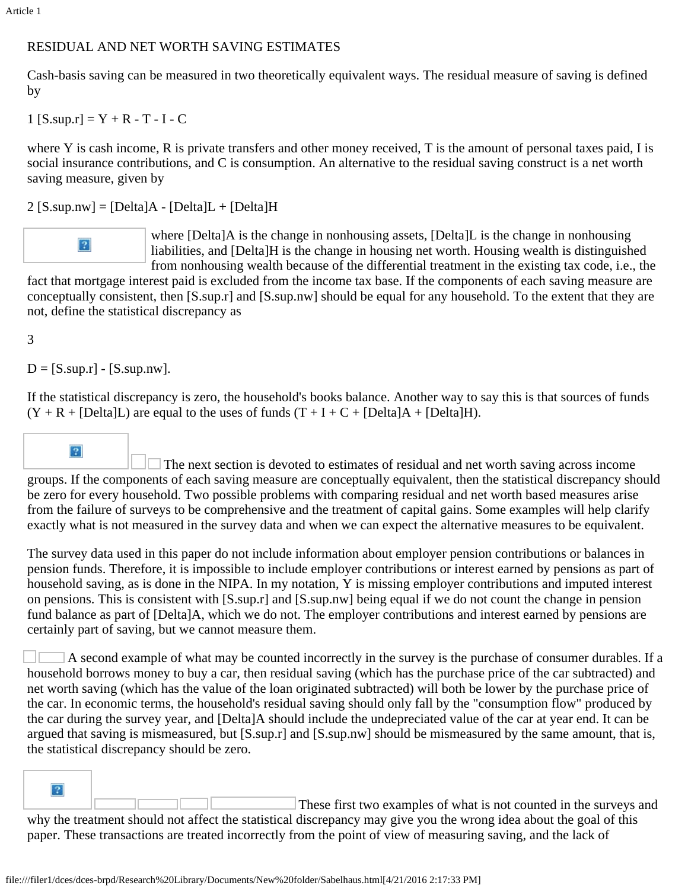## RESIDUAL AND NET WORTH SAVING ESTIMATES

Cash-basis saving can be measured in two theoretically equivalent ways. The residual measure of saving is defined by

1  $[S.\sup x] = Y + R - T - I - C$ 

where Y is cash income, R is private transfers and other money received, T is the amount of personal taxes paid, I is social insurance contributions, and C is consumption. An alternative to the residual saving construct is a net worth saving measure, given by

 $2$  [S.sup.nw] = [Delta] $A - [Delta]L + [Delta]H$ 



where [Delta]A is the change in nonhousing assets, [Delta]L is the change in nonhousing liabilities, and [Delta]H is the change in housing net worth. Housing wealth is distinguished from nonhousing wealth because of the differential treatment in the existing tax code, i.e., the

 fact that mortgage interest paid is excluded from the income tax base. If the components of each saving measure are conceptually consistent, then [S.sup.r] and [S.sup.nw] should be equal for any household. To the extent that they are not, define the statistical discrepancy as

### 3

 $D = [S.\sup{.r}] - [S.\sup{.nw}].$ 

If the statistical discrepancy is zero, the household's books balance. Another way to say this is that sources of funds  $(Y + R + [Delta]L)$  are equal to the uses of funds  $(T + I + C + [Delta]A + [Delta]H)$ .

 $\overline{?}$ The next section is devoted to estimates of residual and net worth saving across income groups. If the components of each saving measure are conceptually equivalent, then the statistical discrepancy should be zero for every household. Two possible problems with comparing residual and net worth based measures arise from the failure of surveys to be comprehensive and the treatment of capital gains. Some examples will help clarify exactly what is not measured in the survey data and when we can expect the alternative measures to be equivalent.

The survey data used in this paper do not include information about employer pension contributions or balances in pension funds. Therefore, it is impossible to include employer contributions or interest earned by pensions as part of household saving, as is done in the NIPA. In my notation, Y is missing employer contributions and imputed interest on pensions. This is consistent with [S.sup.r] and [S.sup.nw] being equal if we do not count the change in pension fund balance as part of [Delta]A, which we do not. The employer contributions and interest earned by pensions are certainly part of saving, but we cannot measure them.

A second example of what may be counted incorrectly in the survey is the purchase of consumer durables. If a household borrows money to buy a car, then residual saving (which has the purchase price of the car subtracted) and net worth saving (which has the value of the loan originated subtracted) will both be lower by the purchase price of the car. In economic terms, the household's residual saving should only fall by the "consumption flow" produced by the car during the survey year, and [Delta]A should include the undepreciated value of the car at year end. It can be argued that saving is mismeasured, but [S.sup.r] and [S.sup.nw] should be mismeasured by the same amount, that is, the statistical discrepancy should be zero.

 $\overline{?}$ 

These first two examples of what is not counted in the surveys and why the treatment should not affect the statistical discrepancy may give you the wrong idea about the goal of this paper. These transactions are treated incorrectly from the point of view of measuring saving, and the lack of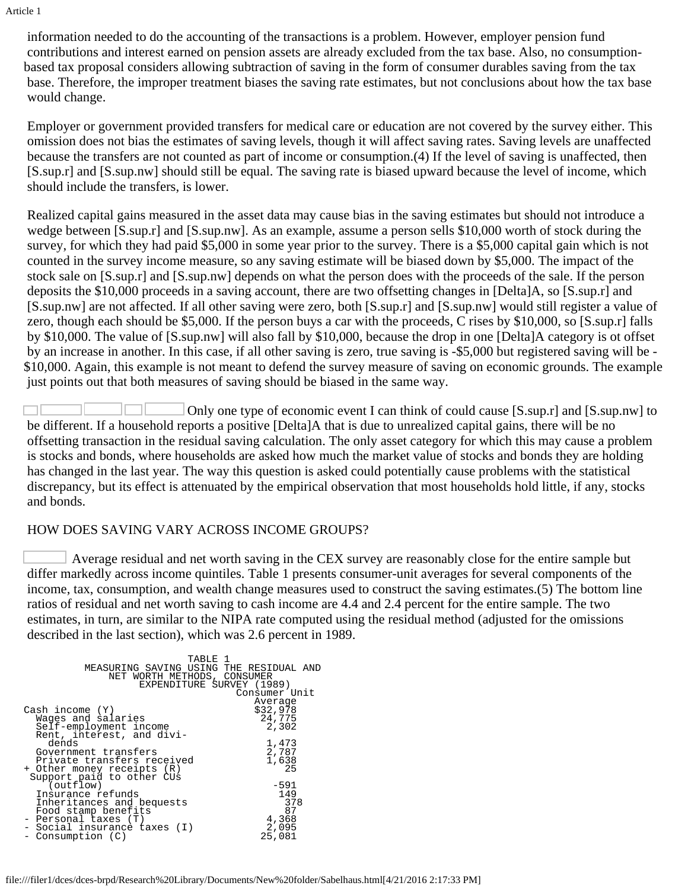information needed to do the accounting of the transactions is a problem. However, employer pension fund contributions and interest earned on pension assets are already excluded from the tax base. Also, no consumptionbased tax proposal considers allowing subtraction of saving in the form of consumer durables saving from the tax base. Therefore, the improper treatment biases the saving rate estimates, but not conclusions about how the tax base would change.

Employer or government provided transfers for medical care or education are not covered by the survey either. This omission does not bias the estimates of saving levels, though it will affect saving rates. Saving levels are unaffected because the transfers are not counted as part of income or consumption.(4) If the level of saving is unaffected, then [S.sup.r] and [S.sup.nw] should still be equal. The saving rate is biased upward because the level of income, which should include the transfers, is lower.

Realized capital gains measured in the asset data may cause bias in the saving estimates but should not introduce a wedge between [S.sup.r] and [S.sup.nw]. As an example, assume a person sells \$10,000 worth of stock during the survey, for which they had paid \$5,000 in some year prior to the survey. There is a \$5,000 capital gain which is not counted in the survey income measure, so any saving estimate will be biased down by \$5,000. The impact of the stock sale on [S.sup.r] and [S.sup.nw] depends on what the person does with the proceeds of the sale. If the person deposits the \$10,000 proceeds in a saving account, there are two offsetting changes in [Delta]A, so [S.sup.r] and [S.sup.nw] are not affected. If all other saving were zero, both [S.sup.r] and [S.sup.nw] would still register a value of zero, though each should be \$5,000. If the person buys a car with the proceeds, C rises by \$10,000, so [S.sup.r] falls by \$10,000. The value of [S.sup.nw] will also fall by \$10,000, because the drop in one [Delta]A category is ot offset by an increase in another. In this case, if all other saving is zero, true saving is -\$5,000 but registered saving will be - \$10,000. Again, this example is not meant to defend the survey measure of saving on economic grounds. The example just points out that both measures of saving should be biased in the same way.

Only one type of economic event I can think of could cause [S.sup.r] and [S.sup.nw] to be different. If a household reports a positive [Delta]A that is due to unrealized capital gains, there will be no offsetting transaction in the residual saving calculation. The only asset category for which this may cause a problem is stocks and bonds, where households are asked how much the market value of stocks and bonds they are holding has changed in the last year. The way this question is asked could potentially cause problems with the statistical discrepancy, but its effect is attenuated by the empirical observation that most households hold little, if any, stocks and bonds.

### HOW DOES SAVING VARY ACROSS INCOME GROUPS?

Average residual and net worth saving in the CEX survey are reasonably close for the entire sample but differ markedly across income quintiles. Table 1 presents consumer-unit averages for several components of the income, tax, consumption, and wealth change measures used to construct the saving estimates.(5) The bottom line ratios of residual and net worth saving to cash income are 4.4 and 2.4 percent for the entire sample. The two estimates, in turn, are similar to the NIPA rate computed using the residual method (adjusted for the omissions described in the last section), which was 2.6 percent in 1989.

| TABLE 1<br>MEASURING SAVING USING THE RESIDUAL AND<br>NET WORTH METHODS, CONSUMER<br>EXPENDITURE SURVEY (1989) | Consumer Unit       |
|----------------------------------------------------------------------------------------------------------------|---------------------|
| Cash income (Y)                                                                                                | Average<br>\$32,978 |
| Wages and salaries<br>Self-employment income                                                                   | 24,775<br>2,302     |
| Rent, interest, and divi-                                                                                      |                     |
| dends<br>Government transfers                                                                                  | 1,473<br>2,787      |
| Private transfers received                                                                                     | 1,638               |
| + Other money receipts (R)<br>Support paid to other CUs                                                        | 25                  |
| (outflow)                                                                                                      | $-591$              |
| Insurance refunds                                                                                              | 149<br>378          |
| Inheritances and bequests<br>Food stamp benefits                                                               | 87                  |
| - Personal taxes (T)                                                                                           | 4,368               |
| - Social insurance taxes (I)<br>Consumption $(C)$                                                              | 2,095<br>25,081     |
|                                                                                                                |                     |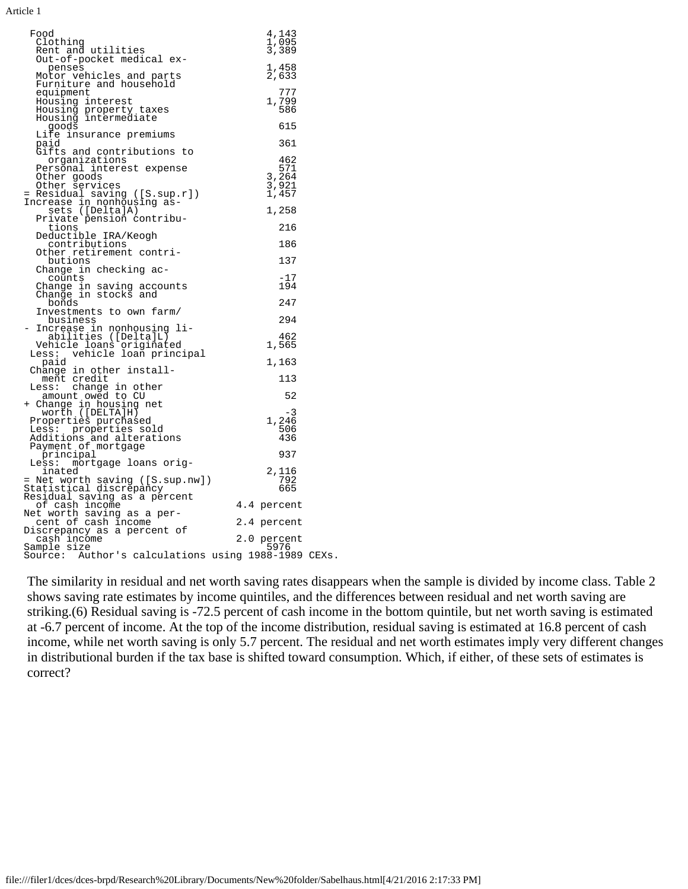| Food<br>Clothing<br>Rent and utilities<br>Out-of-pocket medical ex-                         | 4,143<br>1,095<br>3,389                        |
|---------------------------------------------------------------------------------------------|------------------------------------------------|
| penses<br>Motor vehicles and parts<br>Furniture and household                               | 1,458<br>2,633                                 |
| equipment<br>Housing interest<br>Housing property taxes                                     | 777<br>1,799<br>586                            |
| Housing intermediate<br>qoods                                                               | 615                                            |
| Life insurance premiums<br>paid                                                             | 361                                            |
| Gifts and contributions to<br>organizations                                                 | 462                                            |
| Personal interest expense<br>Other goods<br>Other services<br>= Residual saving ([S.sup.r]) | 571<br>$\frac{3}{3}, \frac{264}{921}$<br>1,457 |
| Increase in nonhousing as-<br>sets ([Delta]A)                                               | 1,258                                          |
| Private pension contribu-<br>tions                                                          | 216                                            |
| Deductible IRA/Keogh<br>contributions                                                       | 186                                            |
| Other retirement contri-<br>butions                                                         | 137                                            |
| Change in checking ac-<br>counts                                                            | $-17$                                          |
| Change in saving accounts<br>Change in stocks and                                           | 194                                            |
| bonds<br>Investments to own farm/                                                           | 247                                            |
| business<br>Increase in nonhousing li-                                                      | 294                                            |
| abilities ([Delta]L)                                                                        | 462<br>1,565                                   |
| Vehicle loans originated<br>ess: vehicle loan principal<br>Less:<br>paid                    | 1,163                                          |
| Change in other install-<br>ment credit                                                     | 113                                            |
| Less: change in other                                                                       | 52                                             |
| - amount owed to CU<br>+ Change in housing net<br>worth ([DELTA]H)                          |                                                |
| Properties purchased                                                                        | -3<br>1,246                                    |
| Less: properties sold<br>Additions and alterations                                          | 506<br>436                                     |
| Payment of mortgage<br>principal                                                            | 937                                            |
| mortgage loans orig-<br>Less:<br>inated                                                     | 2,116                                          |
| = Net worth saving ([S.sup.nw])<br>Statistical discrepancy                                  | 792<br>665                                     |
| Residual saving as a percent                                                                |                                                |
| of cash income<br>Net worth saving as a per-                                                | 4.4 percent                                    |
| cent of cash income<br>Discrepancy as a percent of                                          | 2.4 percent                                    |
| cash income<br>Sample size<br>Source: Author's calculations using 1988-1989 CEXs.           | 2.0 percent<br>5976                            |
|                                                                                             |                                                |

The similarity in residual and net worth saving rates disappears when the sample is divided by income class. Table 2 shows saving rate estimates by income quintiles, and the differences between residual and net worth saving are striking.(6) Residual saving is -72.5 percent of cash income in the bottom quintile, but net worth saving is estimated at -6.7 percent of income. At the top of the income distribution, residual saving is estimated at 16.8 percent of cash income, while net worth saving is only 5.7 percent. The residual and net worth estimates imply very different changes in distributional burden if the tax base is shifted toward consumption. Which, if either, of these sets of estimates is correct?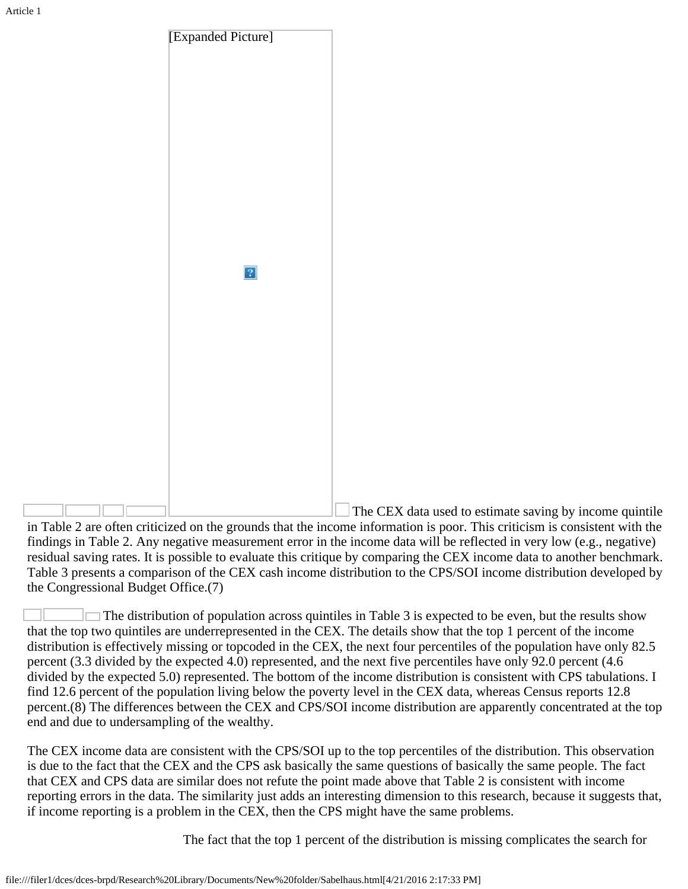

The CEX data used to estimate saving by income quintile in Table 2 are often criticized on the grounds that the income information is poor. This criticism is consistent with the findings in Table 2. Any negative measurement error in the income data will be reflected in very low (e.g., negative) residual saving rates. It is possible to evaluate this critique by comparing the CEX income data to another benchmark. Table 3 presents a comparison of the CEX cash income distribution to the CPS/SOI income distribution developed by the Congressional Budget Office.(7)

 $\Box$  The distribution of population across quintiles in Table 3 is expected to be even, but the results show that the top two quintiles are underrepresented in the CEX. The details show that the top 1 percent of the income distribution is effectively missing or topcoded in the CEX, the next four percentiles of the population have only 82.5 percent (3.3 divided by the expected 4.0) represented, and the next five percentiles have only 92.0 percent (4.6 divided by the expected 5.0) represented. The bottom of the income distribution is consistent with CPS tabulations. I find 12.6 percent of the population living below the poverty level in the CEX data, whereas Census reports 12.8 percent.(8) The differences between the CEX and CPS/SOI income distribution are apparently concentrated at the top end and due to undersampling of the wealthy.

The CEX income data are consistent with the CPS/SOI up to the top percentiles of the distribution. This observation is due to the fact that the CEX and the CPS ask basically the same questions of basically the same people. The fact that CEX and CPS data are similar does not refute the point made above that Table 2 is consistent with income reporting errors in the data. The similarity just adds an interesting dimension to this research, because it suggests that, if income reporting is a problem in the CEX, then the CPS might have the same problems.

The fact that the top 1 percent of the distribution is missing complicates the search for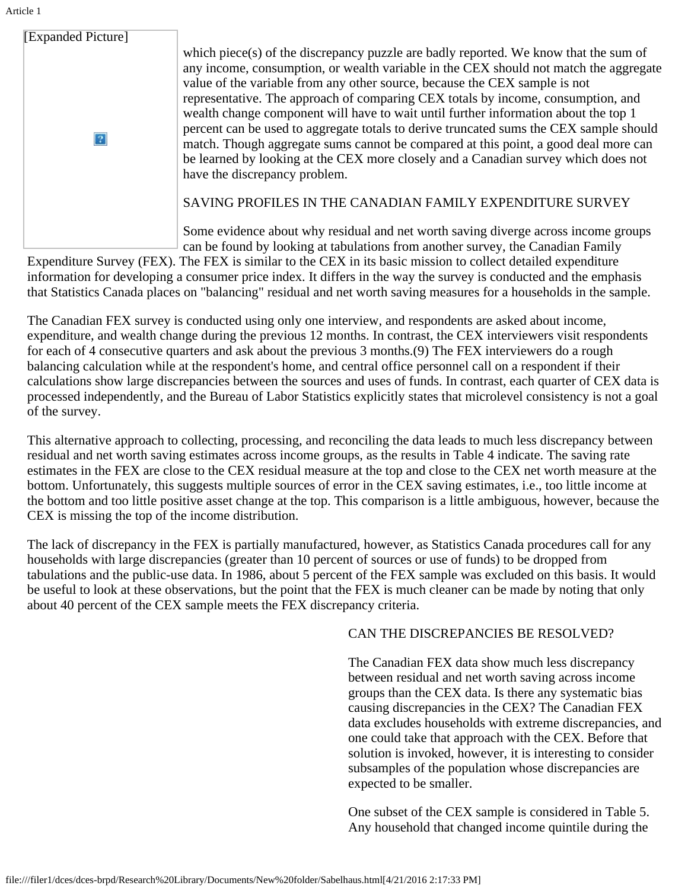| [Expanded Picture]<br>value of the variable from any other source, because the CEX sample is not<br>wealth change component will have to wait until further information about the top 1<br>have the discrepancy problem.<br>SAVING PROFILES IN THE CANADIAN FAMILY EXPENDITURE SURVEY | Article 1 |                                                                                                                                                                                                                                                                                                                                                                                                                                                                                                                                          |
|---------------------------------------------------------------------------------------------------------------------------------------------------------------------------------------------------------------------------------------------------------------------------------------|-----------|------------------------------------------------------------------------------------------------------------------------------------------------------------------------------------------------------------------------------------------------------------------------------------------------------------------------------------------------------------------------------------------------------------------------------------------------------------------------------------------------------------------------------------------|
|                                                                                                                                                                                                                                                                                       |           |                                                                                                                                                                                                                                                                                                                                                                                                                                                                                                                                          |
|                                                                                                                                                                                                                                                                                       |           | which piece(s) of the discrepancy puzzle are badly reported. We know that the sum of<br>any income, consumption, or wealth variable in the CEX should not match the aggregate<br>representative. The approach of comparing CEX totals by income, consumption, and<br>percent can be used to aggregate totals to derive truncated sums the CEX sample should<br>match. Though aggregate sums cannot be compared at this point, a good deal more can<br>be learned by looking at the CEX more closely and a Canadian survey which does not |

Some evidence about why residual and net worth saving diverge across income groups can be found by looking at tabulations from another survey, the Canadian Family

 Expenditure Survey (FEX). The FEX is similar to the CEX in its basic mission to collect detailed expenditure information for developing a consumer price index. It differs in the way the survey is conducted and the emphasis that Statistics Canada places on "balancing" residual and net worth saving measures for a households in the sample.

The Canadian FEX survey is conducted using only one interview, and respondents are asked about income, expenditure, and wealth change during the previous 12 months. In contrast, the CEX interviewers visit respondents for each of 4 consecutive quarters and ask about the previous 3 months.(9) The FEX interviewers do a rough balancing calculation while at the respondent's home, and central office personnel call on a respondent if their calculations show large discrepancies between the sources and uses of funds. In contrast, each quarter of CEX data is processed independently, and the Bureau of Labor Statistics explicitly states that microlevel consistency is not a goal of the survey.

This alternative approach to collecting, processing, and reconciling the data leads to much less discrepancy between residual and net worth saving estimates across income groups, as the results in Table 4 indicate. The saving rate estimates in the FEX are close to the CEX residual measure at the top and close to the CEX net worth measure at the bottom. Unfortunately, this suggests multiple sources of error in the CEX saving estimates, i.e., too little income at the bottom and too little positive asset change at the top. This comparison is a little ambiguous, however, because the CEX is missing the top of the income distribution.

The lack of discrepancy in the FEX is partially manufactured, however, as Statistics Canada procedures call for any households with large discrepancies (greater than 10 percent of sources or use of funds) to be dropped from tabulations and the public-use data. In 1986, about 5 percent of the FEX sample was excluded on this basis. It would be useful to look at these observations, but the point that the FEX is much cleaner can be made by noting that only about 40 percent of the CEX sample meets the FEX discrepancy criteria.

### CAN THE DISCREPANCIES BE RESOLVED?

The Canadian FEX data show much less discrepancy between residual and net worth saving across income groups than the CEX data. Is there any systematic bias causing discrepancies in the CEX? The Canadian FEX data excludes households with extreme discrepancies, and one could take that approach with the CEX. Before that solution is invoked, however, it is interesting to consider subsamples of the population whose discrepancies are expected to be smaller.

One subset of the CEX sample is considered in Table 5. Any household that changed income quintile during the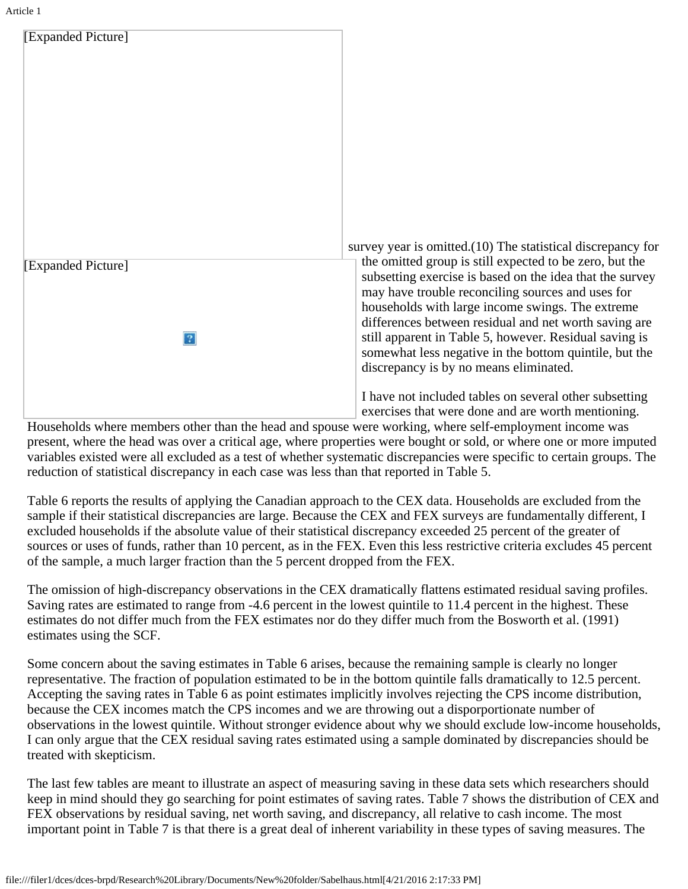

 survey year is omitted.(10) The statistical discrepancy for the omitted group is still expected to be zero, but the subsetting exercise is based on the idea that the survey may have trouble reconciling sources and uses for households with large income swings. The extreme differences between residual and net worth saving are still apparent in Table 5, however. Residual saving is somewhat less negative in the bottom quintile, but the discrepancy is by no means eliminated.

I have not included tables on several other subsetting exercises that were done and are worth mentioning.

 Households where members other than the head and spouse were working, where self-employment income was present, where the head was over a critical age, where properties were bought or sold, or where one or more imputed variables existed were all excluded as a test of whether systematic discrepancies were specific to certain groups. The reduction of statistical discrepancy in each case was less than that reported in Table 5.

Table 6 reports the results of applying the Canadian approach to the CEX data. Households are excluded from the sample if their statistical discrepancies are large. Because the CEX and FEX surveys are fundamentally different, I excluded households if the absolute value of their statistical discrepancy exceeded 25 percent of the greater of sources or uses of funds, rather than 10 percent, as in the FEX. Even this less restrictive criteria excludes 45 percent of the sample, a much larger fraction than the 5 percent dropped from the FEX.

The omission of high-discrepancy observations in the CEX dramatically flattens estimated residual saving profiles. Saving rates are estimated to range from -4.6 percent in the lowest quintile to 11.4 percent in the highest. These estimates do not differ much from the FEX estimates nor do they differ much from the Bosworth et al. (1991) estimates using the SCF.

Some concern about the saving estimates in Table 6 arises, because the remaining sample is clearly no longer representative. The fraction of population estimated to be in the bottom quintile falls dramatically to 12.5 percent. Accepting the saving rates in Table 6 as point estimates implicitly involves rejecting the CPS income distribution, because the CEX incomes match the CPS incomes and we are throwing out a disporportionate number of observations in the lowest quintile. Without stronger evidence about why we should exclude low-income households, I can only argue that the CEX residual saving rates estimated using a sample dominated by discrepancies should be treated with skepticism.

The last few tables are meant to illustrate an aspect of measuring saving in these data sets which researchers should keep in mind should they go searching for point estimates of saving rates. Table 7 shows the distribution of CEX and FEX observations by residual saving, net worth saving, and discrepancy, all relative to cash income. The most important point in Table 7 is that there is a great deal of inherent variability in these types of saving measures. The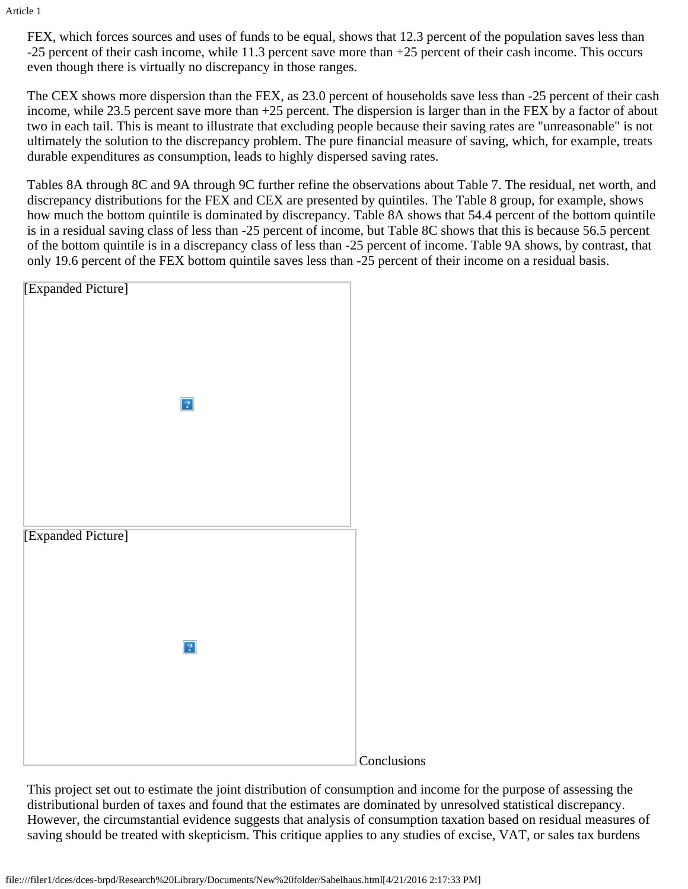FEX, which forces sources and uses of funds to be equal, shows that 12.3 percent of the population saves less than -25 percent of their cash income, while 11.3 percent save more than +25 percent of their cash income. This occurs even though there is virtually no discrepancy in those ranges.

The CEX shows more dispersion than the FEX, as 23.0 percent of households save less than -25 percent of their cash income, while 23.5 percent save more than +25 percent. The dispersion is larger than in the FEX by a factor of about two in each tail. This is meant to illustrate that excluding people because their saving rates are "unreasonable" is not ultimately the solution to the discrepancy problem. The pure financial measure of saving, which, for example, treats durable expenditures as consumption, leads to highly dispersed saving rates.

Tables 8A through 8C and 9A through 9C further refine the observations about Table 7. The residual, net worth, and discrepancy distributions for the FEX and CEX are presented by quintiles. The Table 8 group, for example, shows how much the bottom quintile is dominated by discrepancy. Table 8A shows that 54.4 percent of the bottom quintile is in a residual saving class of less than -25 percent of income, but Table 8C shows that this is because 56.5 percent of the bottom quintile is in a discrepancy class of less than -25 percent of income. Table 9A shows, by contrast, that only 19.6 percent of the FEX bottom quintile saves less than -25 percent of their income on a residual basis.

| [Expanded Picture]           |             |
|------------------------------|-------------|
|                              |             |
|                              |             |
|                              |             |
|                              |             |
|                              |             |
|                              |             |
|                              |             |
| $\boxed{?}$                  |             |
|                              |             |
|                              |             |
|                              |             |
|                              |             |
|                              |             |
|                              |             |
|                              |             |
| [Expanded Picture]           |             |
|                              |             |
|                              |             |
|                              |             |
|                              |             |
|                              |             |
|                              |             |
| $\left  \cdot \right\rangle$ |             |
|                              |             |
|                              |             |
|                              |             |
|                              |             |
|                              |             |
|                              |             |
|                              | Conclusions |

This project set out to estimate the joint distribution of consumption and income for the purpose of assessing the distributional burden of taxes and found that the estimates are dominated by unresolved statistical discrepancy. However, the circumstantial evidence suggests that analysis of consumption taxation based on residual measures of saving should be treated with skepticism. This critique applies to any studies of excise, VAT, or sales tax burdens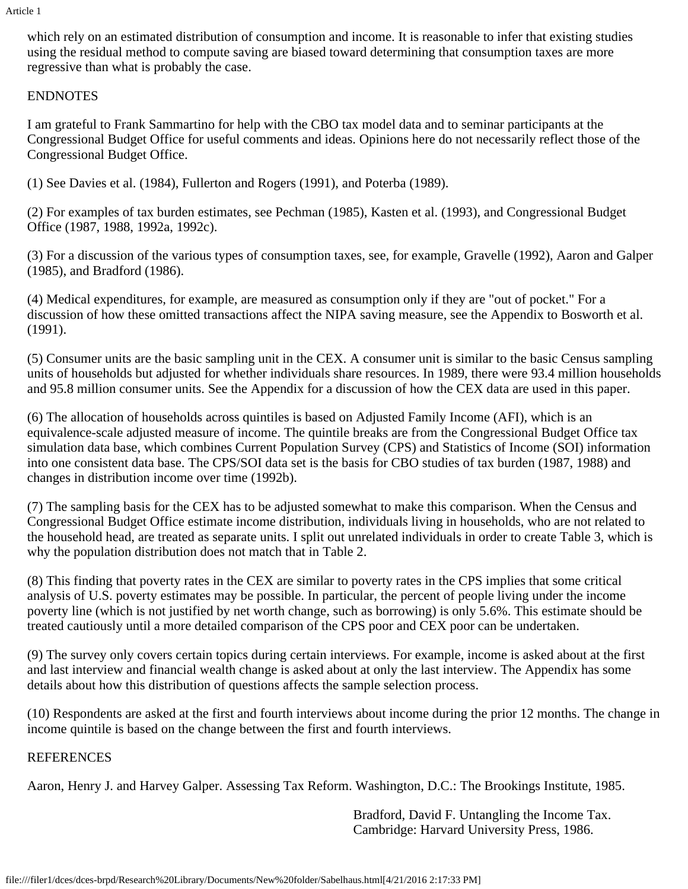which rely on an estimated distribution of consumption and income. It is reasonable to infer that existing studies using the residual method to compute saving are biased toward determining that consumption taxes are more regressive than what is probably the case.

### ENDNOTES

 I am grateful to Frank Sammartino for help with the CBO tax model data and to seminar participants at the Congressional Budget Office for useful comments and ideas. Opinions here do not necessarily reflect those of the Congressional Budget Office.

(1) See Davies et al. (1984), Fullerton and Rogers (1991), and Poterba (1989).

(2) For examples of tax burden estimates, see Pechman (1985), Kasten et al. (1993), and Congressional Budget Office (1987, 1988, 1992a, 1992c).

(3) For a discussion of the various types of consumption taxes, see, for example, Gravelle (1992), Aaron and Galper (1985), and Bradford (1986).

(4) Medical expenditures, for example, are measured as consumption only if they are "out of pocket." For a discussion of how these omitted transactions affect the NIPA saving measure, see the Appendix to Bosworth et al. (1991).

(5) Consumer units are the basic sampling unit in the CEX. A consumer unit is similar to the basic Census sampling units of households but adjusted for whether individuals share resources. In 1989, there were 93.4 million households and 95.8 million consumer units. See the Appendix for a discussion of how the CEX data are used in this paper.

(6) The allocation of households across quintiles is based on Adjusted Family Income (AFI), which is an equivalence-scale adjusted measure of income. The quintile breaks are from the Congressional Budget Office tax simulation data base, which combines Current Population Survey (CPS) and Statistics of Income (SOI) information into one consistent data base. The CPS/SOI data set is the basis for CBO studies of tax burden (1987, 1988) and changes in distribution income over time (1992b).

(7) The sampling basis for the CEX has to be adjusted somewhat to make this comparison. When the Census and Congressional Budget Office estimate income distribution, individuals living in households, who are not related to the household head, are treated as separate units. I split out unrelated individuals in order to create Table 3, which is why the population distribution does not match that in Table 2.

(8) This finding that poverty rates in the CEX are similar to poverty rates in the CPS implies that some critical analysis of U.S. poverty estimates may be possible. In particular, the percent of people living under the income poverty line (which is not justified by net worth change, such as borrowing) is only 5.6%. This estimate should be treated cautiously until a more detailed comparison of the CPS poor and CEX poor can be undertaken.

(9) The survey only covers certain topics during certain interviews. For example, income is asked about at the first and last interview and financial wealth change is asked about at only the last interview. The Appendix has some details about how this distribution of questions affects the sample selection process.

(10) Respondents are asked at the first and fourth interviews about income during the prior 12 months. The change in income quintile is based on the change between the first and fourth interviews.

### REFERENCES

Aaron, Henry J. and Harvey Galper. Assessing Tax Reform. Washington, D.C.: The Brookings Institute, 1985.

Bradford, David F. Untangling the Income Tax. Cambridge: Harvard University Press, 1986.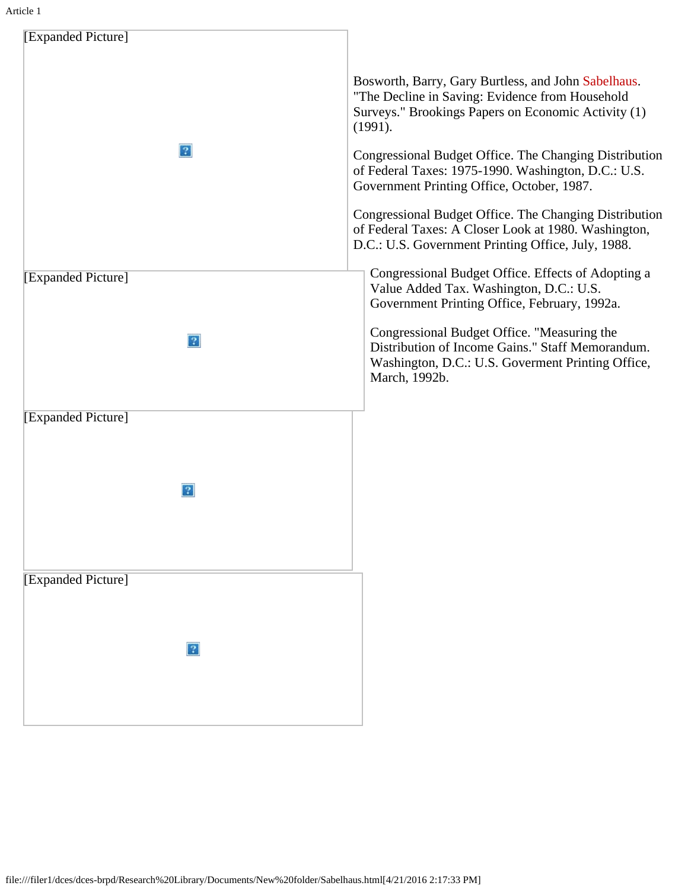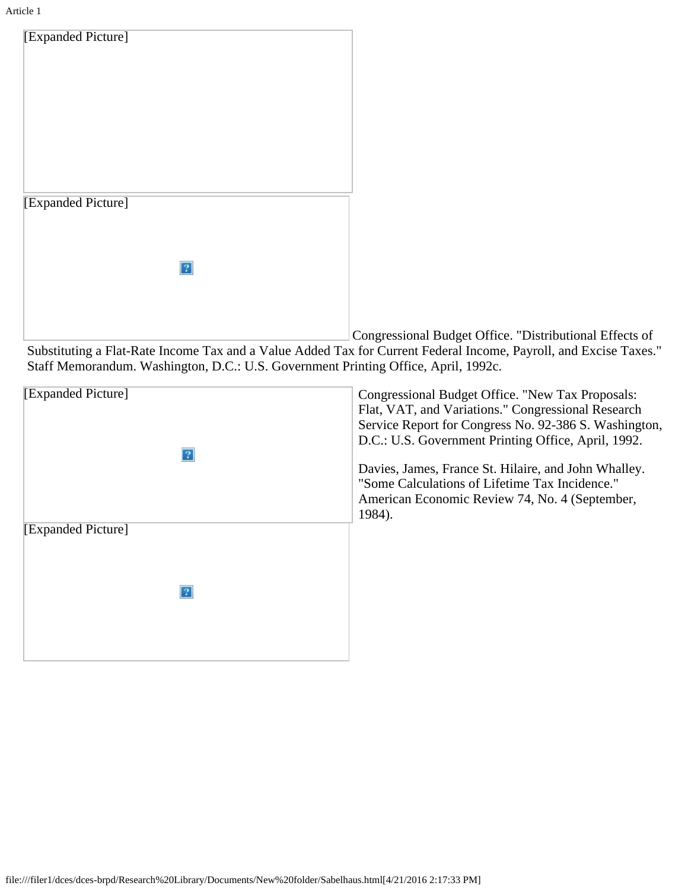

Congressional Budget Office. "Distributional Effects of Substituting a Flat-Rate Income Tax and a Value Added Tax for Current Federal Income, Payroll, and Excise Taxes." Staff Memorandum. Washington, D.C.: U.S. Government Printing Office, April, 1992c.

| [Expanded Picture] | Congressional Budget Office. "New Tax Proposals:<br>Flat, VAT, and Variations." Congressional Research<br>Service Report for Congress No. 92-386 S. Washington,<br>D.C.: U.S. Government Printing Office, April, 1992. |
|--------------------|------------------------------------------------------------------------------------------------------------------------------------------------------------------------------------------------------------------------|
|                    | Davies, James, France St. Hilaire, and John Whalley.<br>"Some Calculations of Lifetime Tax Incidence."<br>American Economic Review 74, No. 4 (September,<br>1984).                                                     |
| [Expanded Picture] |                                                                                                                                                                                                                        |
| 2                  |                                                                                                                                                                                                                        |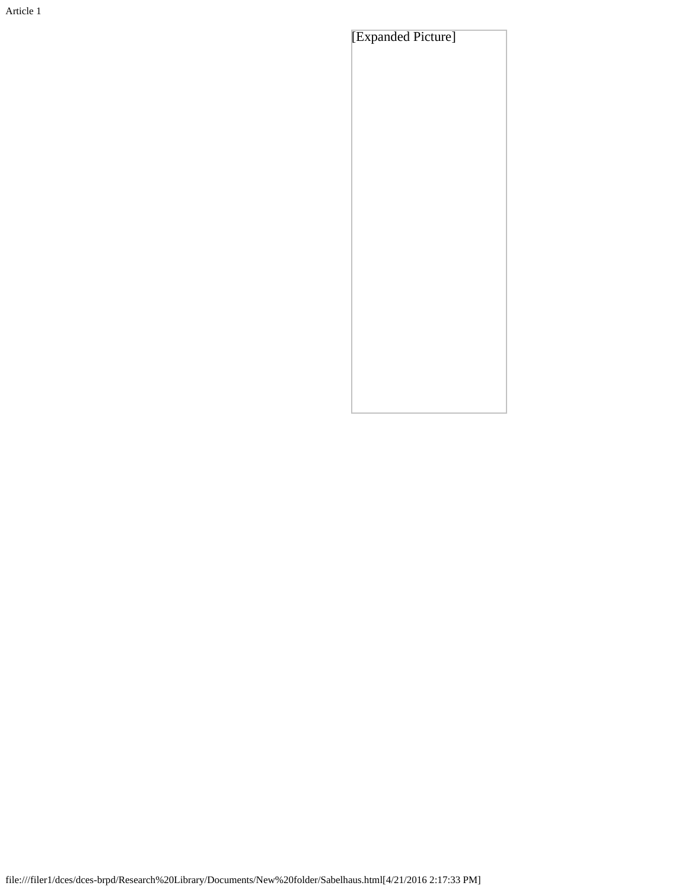